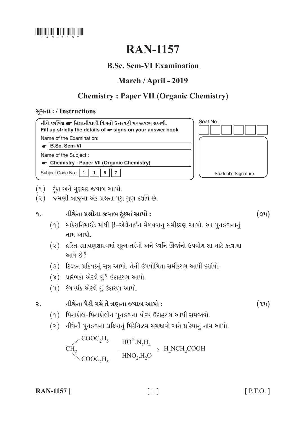

# **RAN-1157**

## **B.Sc. Sem-VI Examination**

## March / April - 2019

## **Chemistry: Paper VII (Organic Chemistry)**

## સૂચના: / Instructions



- (१) टूंडा અને મુદ્દાસર જવાબ આપો.
- (૨) જમણી બાજુના અંક પ્રશ્નના પૂરા ગુણ દર્શાવે છે.

#### નીચેના પ્રશ્નોના જવાબ ટંકમાં આપો :  $9<sub>1</sub>$

- (૧) સાકેસનિમાઈડ માંથી  $\beta$ -એલેનાઈન મેળવવાનુ સમીકરણ આપો. આ પુનઃરચનાનું નામ આપો
- (૨) હરિત રસાયણશાસ્ત્રમાં સુક્ષ્મ તરંગો અને ધ્વનિ ઊર્જાનો ઉપયોગ શા માટે કરવામા આવે છે?
- (3) ટિલ્ડન પ્રક્રિયકનું સૂત્ર આપો. તેની ઉપયોગિતા સમીકરણ આપી દર્શાવો.
- (૪) પ્રારંભકો એટલે શં? ઉદાહરણ આપો.
- (૫) રંગવર્ધક એટલે શું ઉદારણ આપો.

 $\mathcal{L}_{\bullet}$ 

## નીચેના પૈકી ગમે તે ત્રણના જવાબ આપો :

- (૧) પિનાકોલ-પિનાકોલોન પુનઃરચના યોગ્ય ઉદાહરણ આપી સમજાવો.
- (૨) નીચેની પુનઃરચના પ્રક્રિયાનું મિકેનિઝમ સમજાવો અને પ્રક્રિયાનું નામ આપો.

 $\sim$ COOC<sub>2</sub>H<sub>5</sub>  $\xrightarrow{\text{HO}^{\circ}, \text{N}_2\text{H}_4}$   $\xrightarrow{\text{HNO}_2, \text{H}_2\text{O}}$   $\xrightarrow{\text{HNO}_2, \text{H}_2\text{O}}$   $\xrightarrow{\text{HNO}_2, \text{H}_2\text{O}}$  $CH<sub>2</sub>$ 

**RAN-1157** 

 $(ou)$ 

 $(9y)$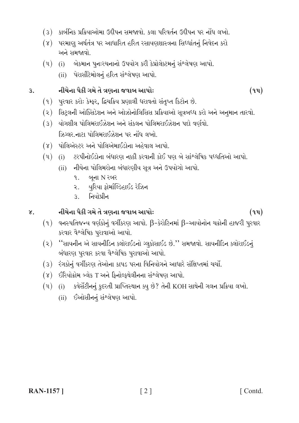- (3) કાર્બનિક પ્રક્રિયાઓમા ઉદ્દીપન સમજાવો. કલા પરિવર્તન ઉદ્દીપન પર નોંધ લખો.
- (४) પરમાણુ અર્થતંત્ર પર આધારિત હરિત રસાયણશાસ્ત્રના સિધ્ધાંતનું નિવેદન કરો અને સમજાવો.
- (૫) (i) બેકમાન પુનઃરચનાનો ઉપયોગ કરી કેપ્રોલેક્ટમનું સંશ્લેષણ આપો.
	- (ii) પેરાસીટેમોલનું હરિત સંશ્લેષણ આપો.

નીચેના પૈકી ગમે તે ત્રણના જવાબ આપોઃ  $\overline{3}$ .

- (૧) પુરવાર કરો: કેમ્ફર, દ્વિચક્રિય પ્રણાલી ધરાવતો સંતુપ્ત કિટોન છે.
- (૨) સિટ્લની ઓક્સિડેશન અને ઓઝોનોલિસિસ પ્રક્રિયાઓ સૂત્રબધ્ધ કરો અને અનુમાન તારવો.
- (૩) યોગશીલ પોલિમરાઈઝેશન અને સંકલન પોલિમરાઈઝેશન પદો વર્ણવો. ઝિગ્લર.નાટા પોલિમરાઈઝેશન પર નોંધ લખો.
- (૪) પોલિએસ્ટર અને પોલિએમાઈડોના અહેવાલ આપો.
- (i) ટરપીનોઈડોના બંધારણ નક્કી કરવાની કોઈ પણ બે સાંશ્લેષિક પધ્ધતિઓ આપો.  $(\mathfrak{y})$ 
	- (ii) નીચેના પોલિમરોના બંધારણીય સૂત્ર અને ઉપયોગો આપો.
		- $9.$ બના N રબર
		- યુરિયા ફોર્માલ્ડિહાઈડ રેઝિન  $\mathbf{R}$
		- નિયોપીન  $3<sup>1</sup>$

#### નીચેના પૈકી ગમે તે ત્રણના જવાબ આપોઃ  $\gamma$ .

- (૧) વનસ્પતિજન્ય વર્ણકોનું વર્ગીકરણ આપો.  $\beta$ -કેરોટિનમાં  $\beta$ -આયોનોન ચક્રોની હાજરી પુરવાર કરવાર વૈશ્લેષિક પુરાવાઓ આપો.
- (૨) "સાયનીન એ સાયનીડિન ક્લોરાઈડનો ગ્લુકોસાઈડ છે." સમજાવો. સાયનીડિન ક્લોરાઈડનું બંધારણ પુરવાર કરવા વૈશ્લેષિક પુરાવાઓ આપો.
- (૩) રંગકોનું વર્ગીકરણ તેઓના કાપડ પરના વિનિયોગને આધારે સંક્ષિપ્તમાં ચર્ચો.
- (૪) ઈરિયોક્રોમ બ્લેક T અને ફિનોલ્ફથેલીનના સંશ્લેષણ આપો.
- $(4)$  (i) કવેર્સેટીનનું કુદરતી પ્રાપ્તિસ્થાન ક્યુ છે? તેની KOH સાથેની ગલન પ્રક્રિયા લખો.
	- (ii) ઈઓસીનનું સંશ્લેષણ આપો.

 $(9y)$ 

 $(9y)$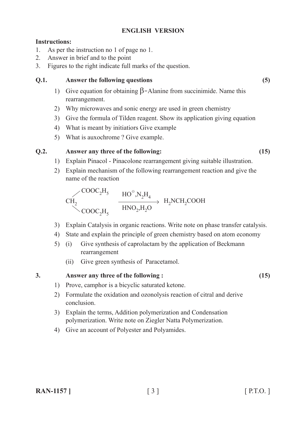## **ENGLISH VERSION**

### **Instructions:**

- 1. As per the instruction no 1 of page no 1.
- 2. Answer in brief and to the point
- 3. Figures to the right indicate full marks of the question.

### **Q.1. Answer the following questions (5)**

- 1) Give equation for obtaining β-Alanine from succinimide. Name this rearrangement.
- 2) Why microwaves and sonic energy are used in green chemistry
- 3) Give the formula of Tilden reagent. Show its application giving equation
- 4) What is meant by initiatiors Give example
- 5) What is auxochrome ? Give example.

## **Q.2. Answer any three of the following: (15)**

- 1) Explain Pinacol Pinacolone rearrangement giving suitable illustration.
- 2) Explain mechanism of the following rearrangement reaction and give the name of the reaction

 $COOC<sub>2</sub>H<sub>5</sub>$  $H_2NCH_2COOH$  $HO^{\circ}$ ,  $N_2H_4$  $COOC<sub>2</sub>H<sub>5</sub>$  $CH<sub>2</sub>$  $HNO<sub>2</sub>, H<sub>2</sub>O$ 

- 3) Explain Catalysis in organic reactions. Write note on phase transfer catalysis.
- 4) State and explain the principle of green chemistry based on atom economy
- 5) (i) Give synthesis of caprolactam by the application of Beckmann rearrangement
	- (ii) Give green synthesis of Paracetamol.

### **3. Answer any three of the following : (15)**

- 1) Prove, camphor is a bicyclic saturated ketone.
- 2) Formulate the oxidation and ozonolysis reaction of citral and derive conclusion.
- 3) Explain the terms, Addition polymerization and Condensation polymerization. Write note on Ziegler Natta Polymerization.
- 4) Give an account of Polyester and Polyamides.